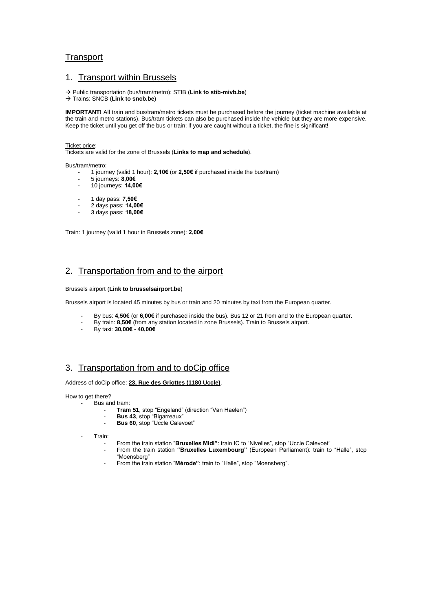## **Transport**

#### 1. Transport within Brussels

Public transportation (bus/tram/metro): STIB (**[Link to stib-mivb.be](http://www.stib-mivb.be/index.htm?l=en)**)

Trains: SNCB (**[Link to sncb.be](http://www.belgianrail.be/en/Default.aspx)**)

**IMPORTANT!** All train and bus/tram/metro tickets must be purchased before the journey (ticket machine available at the train and metro stations). Bus/tram tickets can also be purchased inside the vehicle but they are more expensive. Keep the ticket until you get off the bus or train; if you are caught without a ticket, the fine is significant!

#### [Ticket price:](http://www.stib-mivb.be/abon_tickets.html?l=en)

Tickets are valid for the zone of Brussels (**Links to [map](http://www.stib-mivb.be/netplan-plan-reseau.html?l=en) and [schedule](http://www.stib-mivb.be/horaires-dienstregeling.html?l=en)**).

Bus/tram/metro:

- 1 journey (valid 1 hour): **2,10€** (or **2,50€** if purchased inside the bus/tram)

- 5 journeys: **8,00€**
- 10 journeys: **14,00€**
- 1 day pass: **7,50€**
- 2 days pass: **14,00€**
- 3 days pass: **18,00€**

Train: 1 journey (valid 1 hour in Brussels zone): **2,00€**

#### 2. Transportation from and to the airport

Brussels airport (**[Link to brusselsairport.be](http://www.brusselsairport.be/en/)**)

Brussels airport is located 45 minutes by bus or train and 20 minutes by taxi from the European quarter.

- By bus: **4,50€** (or **6,00€** if purchased inside the bus)[. Bus 12 or 21](http://www.stib-mivb.be/horaires-dienstregeling2.html?l=en&moduscode=B&linecode=12) from and to the European quarter.
- By train: **8,50€** (from any station located in zone Brussels). Train to Brussels airport.
- By taxi: **30,00€ - 40,00€**

## 3. Transportation from and to doCip office

Address of doCip office: **23, Rue des Griottes (1180 Uccle)**.

How to get there?

- Bus and tram:
	- **Tram 51**, stop "Engeland" (direction "Van Haelen")
	- **Bus 43**, stop "Bigarreaux"
	- **Bus 60**, stop "Uccle Calevoet"

Train:

- From the train station "**Bruxelles Midi"**: train IC to "Nivelles", stop "Uccle Calevoet"
	- From the train station **"Bruxelles Luxembourg"** (European Parliament): train to "Halle", stop "Moensberg"
- From the train station "**Mérode"**: train to "Halle", stop "Moensberg".